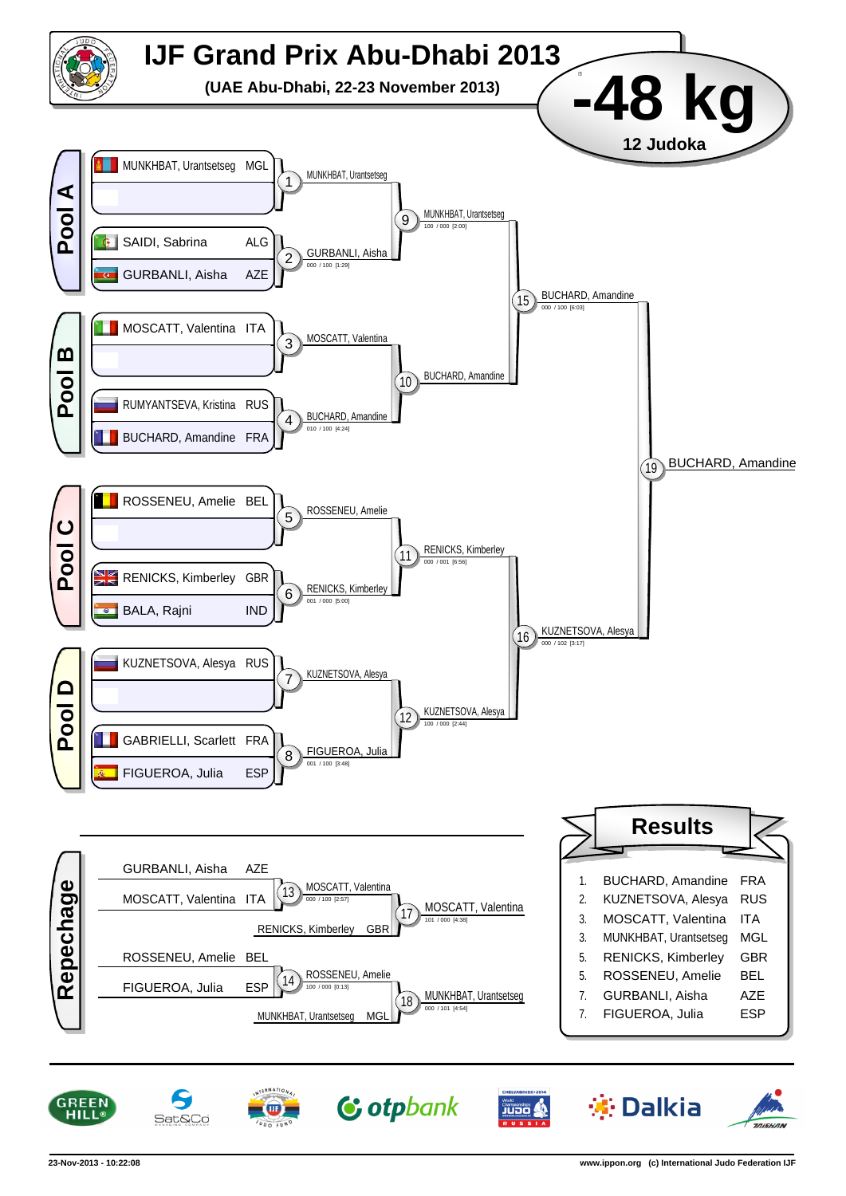

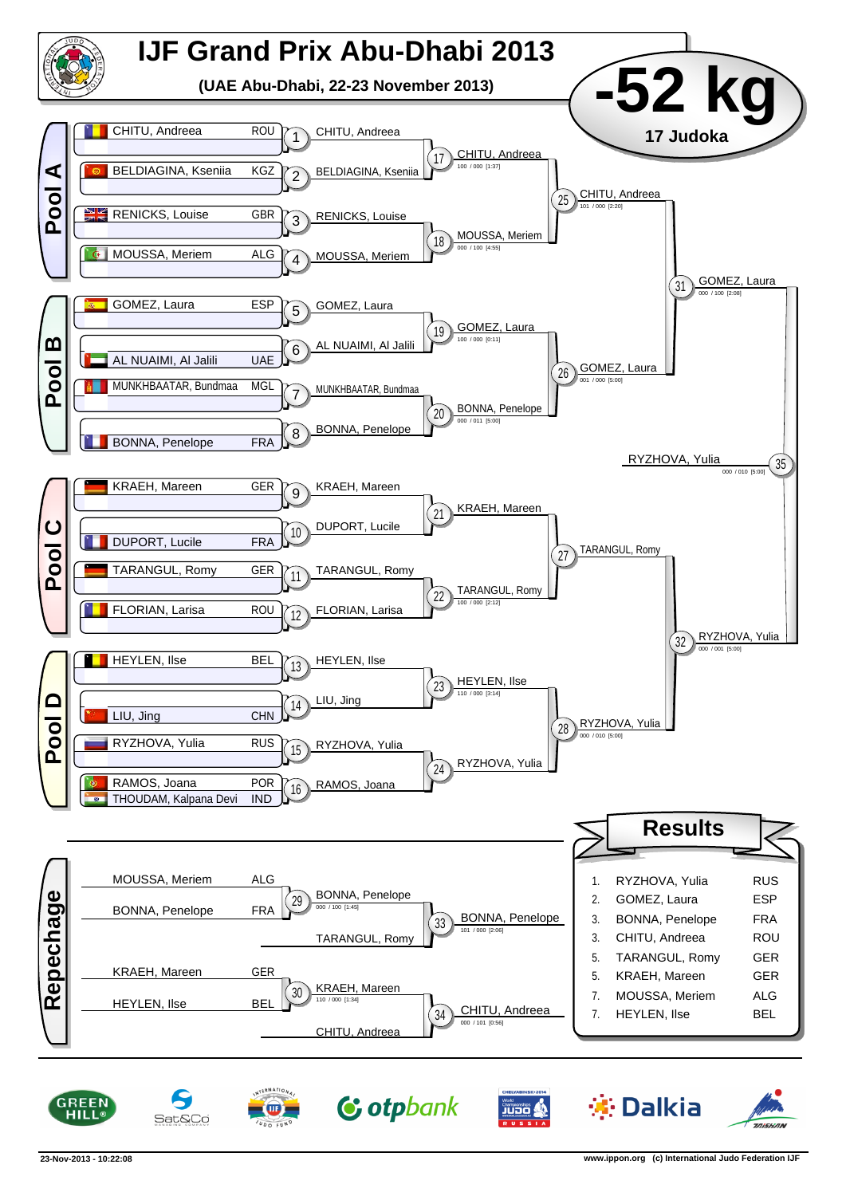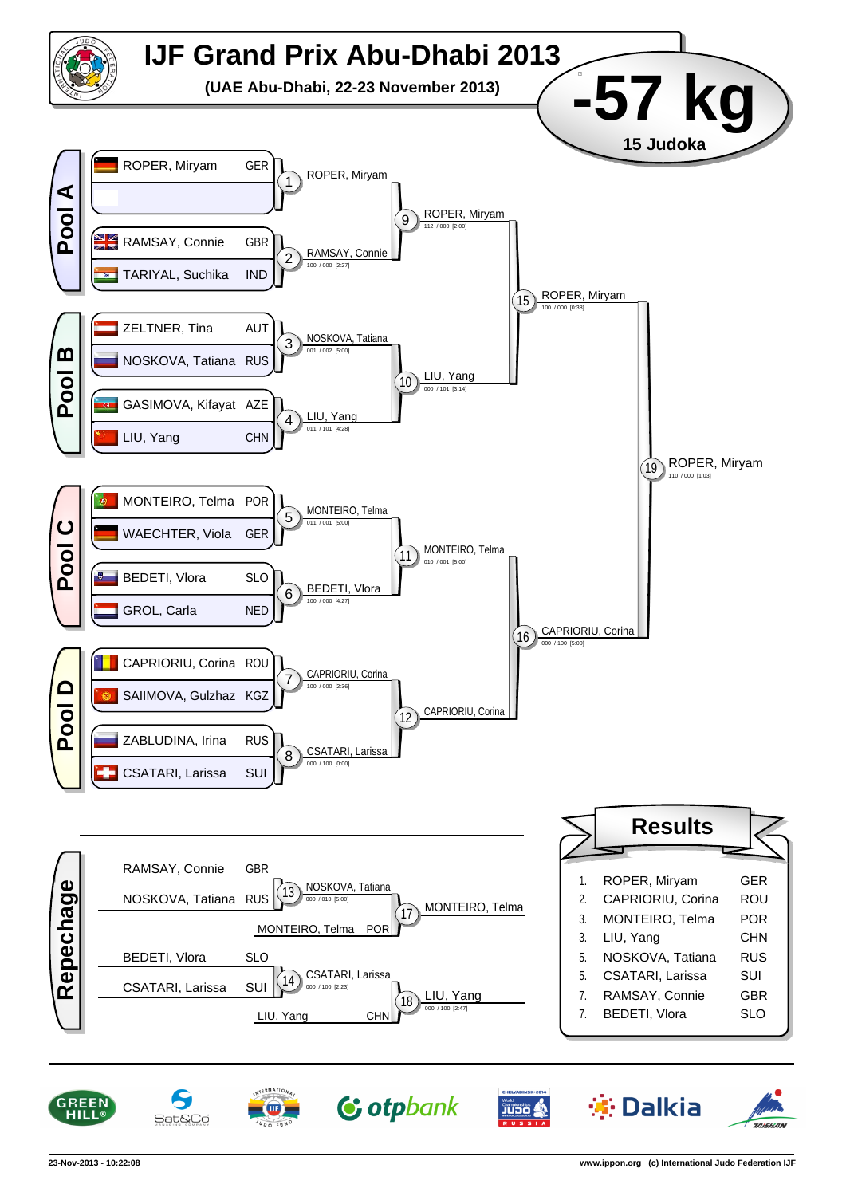

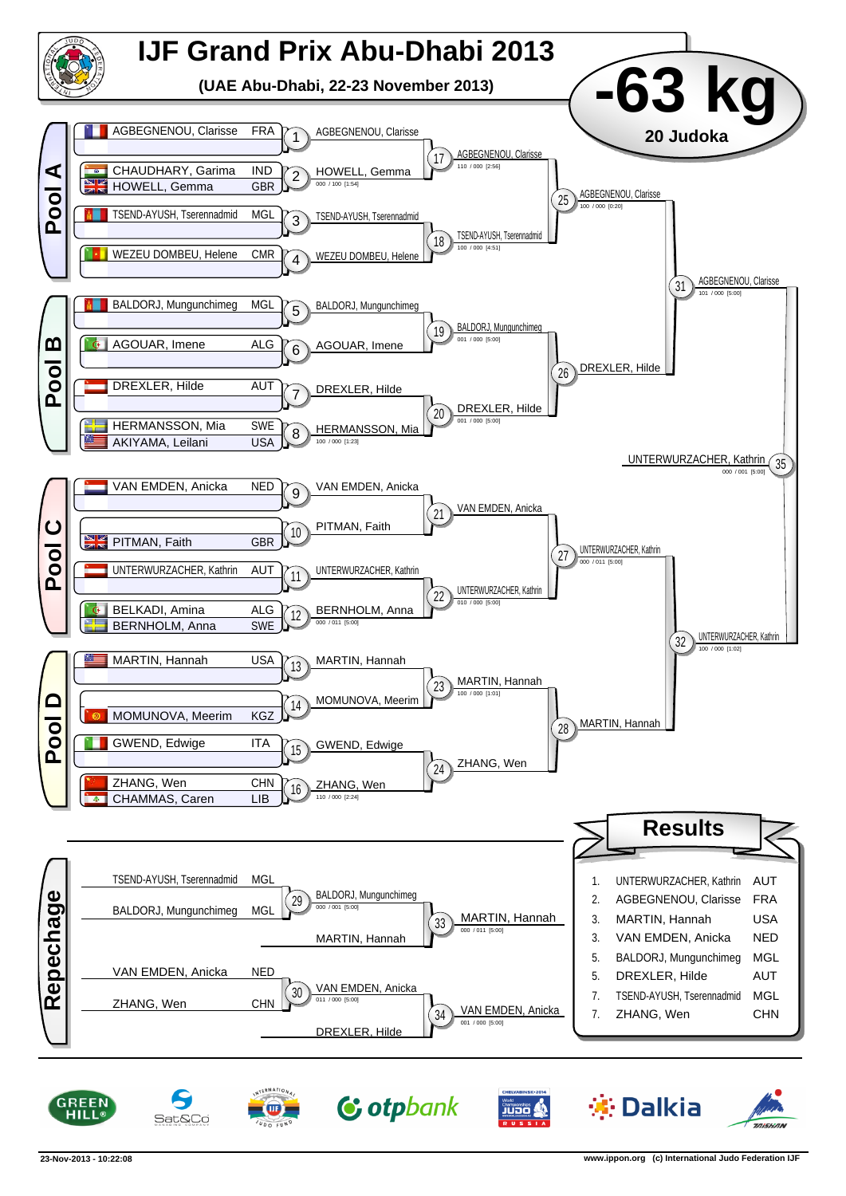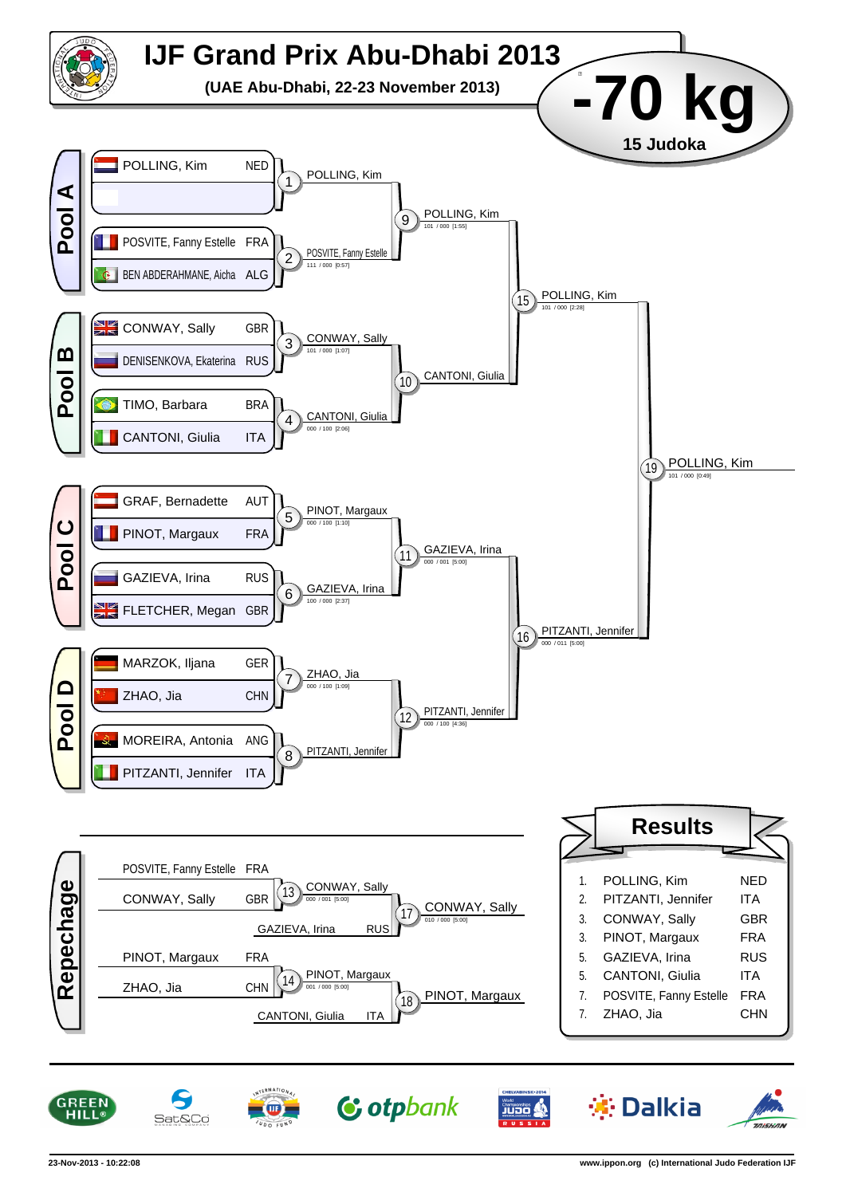

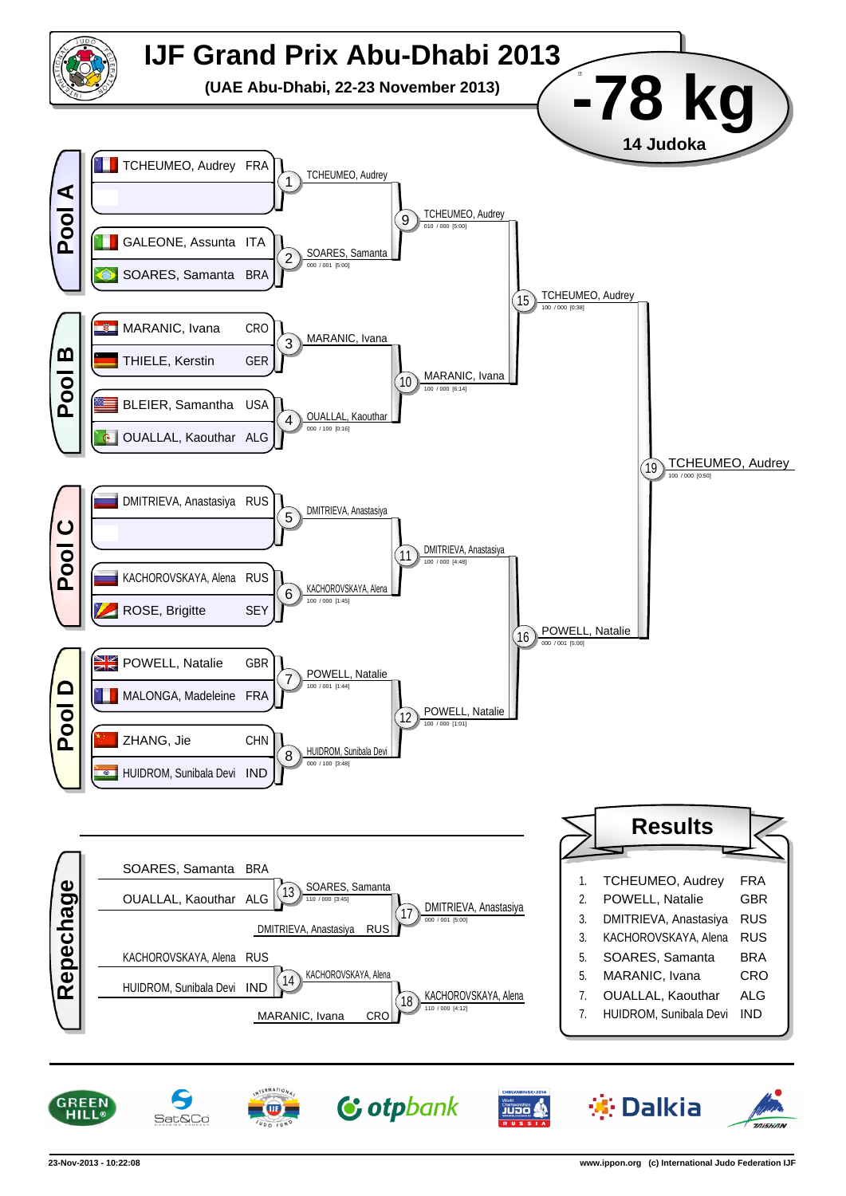